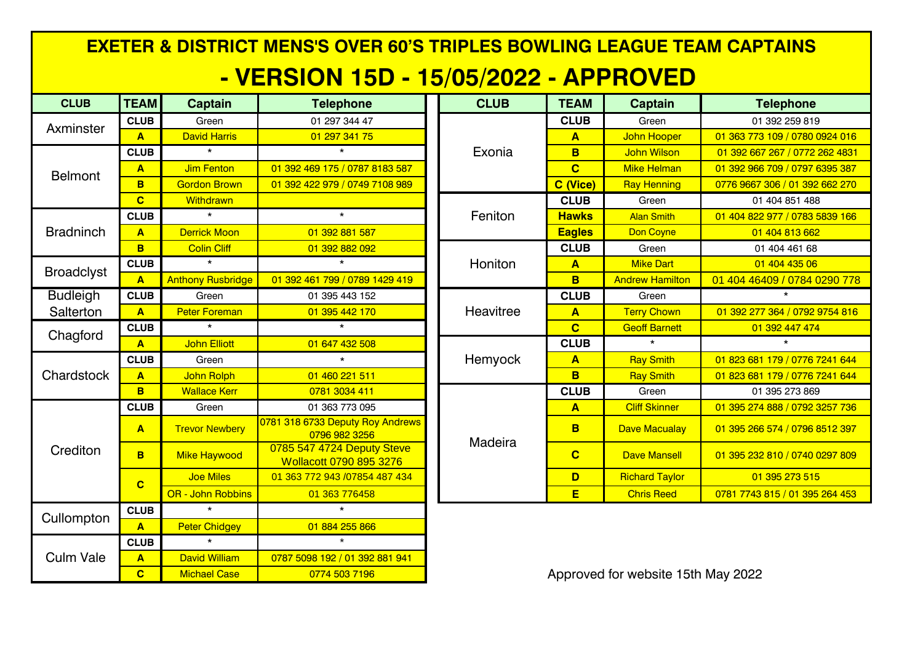| <b>EXETER &amp; DISTRICT MENS'S OVER 60'S TRIPLES BOWLING LEAGUE TEAM CAPTAINS</b> |                  |                          |                                                       |  |             |                         |                                    |                                |  |  |  |
|------------------------------------------------------------------------------------|------------------|--------------------------|-------------------------------------------------------|--|-------------|-------------------------|------------------------------------|--------------------------------|--|--|--|
| <u> - VERSION 15D - 15/05/2022 - APPROVED</u>                                      |                  |                          |                                                       |  |             |                         |                                    |                                |  |  |  |
| <b>CLUB</b>                                                                        | <b>TEAM</b>      | <b>Captain</b>           | <b>Telephone</b>                                      |  | <b>CLUB</b> | <b>TEAM</b>             | <b>Captain</b>                     | <b>Telephone</b>               |  |  |  |
| Axminster                                                                          | <b>CLUB</b>      | Green                    | 01 297 344 47                                         |  | Exonia      | <b>CLUB</b>             | Green                              | 01 392 259 819                 |  |  |  |
|                                                                                    | A                | <b>David Harris</b>      | 01 297 341 75                                         |  |             | $\blacktriangle$        | John Hooper                        | 01 363 773 109 / 0780 0924 016 |  |  |  |
| <b>Belmont</b>                                                                     | <b>CLUB</b>      | $\star$                  | $\star$                                               |  |             | B                       | <b>John Wilson</b>                 | 01 392 667 267 / 0772 262 4831 |  |  |  |
|                                                                                    | $\mathbf{A}$     | <b>Jim Fenton</b>        | 01 392 469 175 / 0787 8183 587                        |  |             | $\overline{c}$          | <b>Mike Helman</b>                 | 01 392 966 709 / 0797 6395 387 |  |  |  |
|                                                                                    | <b>B</b>         | <b>Gordon Brown</b>      | 01 392 422 979 / 0749 7108 989                        |  |             | C (Vice)                | <b>Ray Henning</b>                 | 0776 9667 306 / 01 392 662 270 |  |  |  |
|                                                                                    | $\overline{c}$   | Withdrawn                |                                                       |  | Feniton     | <b>CLUB</b>             | Green                              | 01 404 851 488                 |  |  |  |
| <b>Bradninch</b>                                                                   | <b>CLUB</b>      | $\star$                  | $\star$                                               |  |             | <b>Hawks</b>            | <b>Alan Smith</b>                  | 01 404 822 977 / 0783 5839 166 |  |  |  |
|                                                                                    | A                | <b>Derrick Moon</b>      | 01 392 881 587                                        |  |             | <b>Eagles</b>           | Don Coyne                          | 01 404 813 662                 |  |  |  |
|                                                                                    | <b>B</b>         | <b>Colin Cliff</b>       | 01 392 882 092                                        |  | Honiton     | <b>CLUB</b>             | Green                              | 01 404 461 68                  |  |  |  |
| <b>Broadclyst</b>                                                                  | <b>CLUB</b>      | $\star$                  | $\star$                                               |  |             | $\blacktriangle$        | <b>Mike Dart</b>                   | 01 404 435 06                  |  |  |  |
|                                                                                    | $\blacktriangle$ | <b>Anthony Rusbridge</b> | 01 392 461 799 / 0789 1429 419                        |  |             | B                       | <b>Andrew Hamilton</b>             | 01 404 46409 / 0784 0290 778   |  |  |  |
| <b>Budleigh</b>                                                                    | <b>CLUB</b>      | Green                    | 01 395 443 152                                        |  | Heavitree   | <b>CLUB</b>             | Green                              | $\star$                        |  |  |  |
| Salterton                                                                          | A                | <b>Peter Foreman</b>     | 01 395 442 170                                        |  |             | $\blacktriangle$        | <b>Terry Chown</b>                 | 01 392 277 364 / 0792 9754 816 |  |  |  |
| Chagford                                                                           | <b>CLUB</b>      | $\star$                  | $\star$                                               |  |             | $\overline{\mathbf{C}}$ | <b>Geoff Barnett</b>               | 01 392 447 474                 |  |  |  |
|                                                                                    | A                | <b>John Elliott</b>      | 01 647 432 508                                        |  | Hemyock     | <b>CLUB</b>             | $\star$                            | $\star$                        |  |  |  |
|                                                                                    | <b>CLUB</b>      | Green                    | $\star$                                               |  |             | $\blacktriangle$        | <b>Ray Smith</b>                   | 01 823 681 179 / 0776 7241 644 |  |  |  |
| Chardstock                                                                         | $\blacktriangle$ | John Rolph               | 01 460 221 511                                        |  |             | B                       | <b>Ray Smith</b>                   | 01 823 681 179 / 0776 7241 644 |  |  |  |
|                                                                                    | B.               | <b>Wallace Kerr</b>      | 0781 3034 411                                         |  |             | <b>CLUB</b>             | Green                              | 01 395 273 869                 |  |  |  |
|                                                                                    | <b>CLUB</b>      | Green                    | 01 363 773 095                                        |  | Madeira     | $\mathbf{A}$            | <b>Cliff Skinner</b>               | 01 395 274 888 / 0792 3257 736 |  |  |  |
| Crediton                                                                           | $\mathbf{A}$     | <b>Trevor Newbery</b>    | 0781 318 6733 Deputy Roy Andrews<br>0796 982 3256     |  |             | B                       | <b>Dave Macualay</b>               | 01 395 266 574 / 0796 8512 397 |  |  |  |
|                                                                                    | B.               | <b>Mike Haywood</b>      | 0785 547 4724 Deputy Steve<br>Wollacott 0790 895 3276 |  |             | $\overline{\mathbf{C}}$ | <b>Dave Mansell</b>                | 01 395 232 810 / 0740 0297 809 |  |  |  |
|                                                                                    | $\overline{c}$   | <b>Joe Miles</b>         | 01 363 772 943 /07854 487 434                         |  |             | D                       | <b>Richard Taylor</b>              | 01 395 273 515                 |  |  |  |
|                                                                                    |                  | OR - John Robbins        | 01 363 776458                                         |  |             | E                       | <b>Chris Reed</b>                  | 0781 7743 815 / 01 395 264 453 |  |  |  |
| Cullompton                                                                         | <b>CLUB</b>      | $\star$                  | $\star$                                               |  |             |                         |                                    |                                |  |  |  |
|                                                                                    | $\mathbf{A}$     | <b>Peter Chidgey</b>     | 01 884 255 866                                        |  |             |                         |                                    |                                |  |  |  |
| <b>Culm Vale</b>                                                                   | <b>CLUB</b>      | $\ddot{\phantom{0}}$     |                                                       |  |             |                         |                                    |                                |  |  |  |
|                                                                                    | $\overline{A}$   | <b>David William</b>     | 0787 5098 192 / 01 392 881 941                        |  |             |                         |                                    |                                |  |  |  |
|                                                                                    | $\overline{c}$   | <b>Michael Case</b>      | 0774 503 7196                                         |  |             |                         | Approved for website 15th May 2022 |                                |  |  |  |